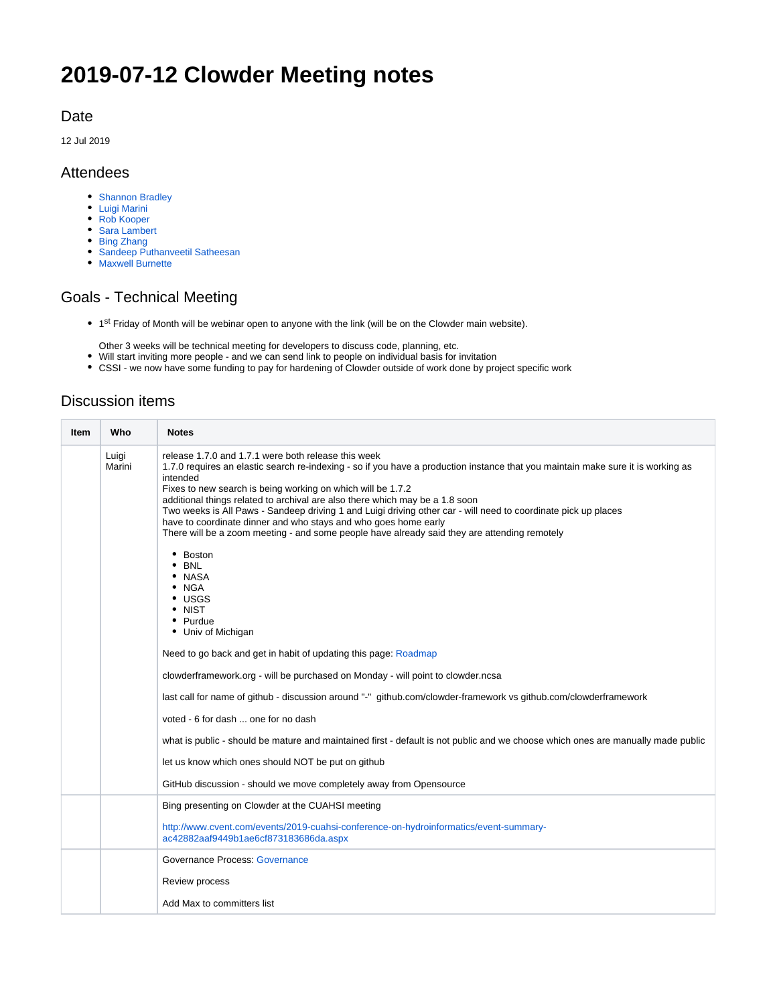# **2019-07-12 Clowder Meeting notes**

#### Date

12 Jul 2019

#### Attendees

- [Shannon Bradley](https://opensource.ncsa.illinois.edu/confluence/display/~sbrad77)
- [Luigi Marini](https://opensource.ncsa.illinois.edu/confluence/display/~lmarini)
- [Rob Kooper](https://opensource.ncsa.illinois.edu/confluence/display/~kooper)
- [Sara Lambert](https://opensource.ncsa.illinois.edu/confluence/display/~lambert8)
- [Bing Zhang](https://opensource.ncsa.illinois.edu/confluence/display/~bing)
- [Sandeep Puthanveetil Satheesan](https://opensource.ncsa.illinois.edu/confluence/display/~sandeeps)
- [Maxwell Burnette](https://opensource.ncsa.illinois.edu/confluence/display/~mburnet2)

## Goals - Technical Meeting

• 1<sup>st</sup> Friday of Month will be webinar open to anyone with the link (will be on the Clowder main website).

Other 3 weeks will be technical meeting for developers to discuss code, planning, etc.

- Will start inviting more people and we can send link to people on individual basis for invitation
- CSSI we now have some funding to pay for hardening of Clowder outside of work done by project specific work

### Discussion items

| Item | Who             | <b>Notes</b>                                                                                                                                                                                                                                                                                                                                                                                                                                                                                                                                                                                                                                                                                                                                             |
|------|-----------------|----------------------------------------------------------------------------------------------------------------------------------------------------------------------------------------------------------------------------------------------------------------------------------------------------------------------------------------------------------------------------------------------------------------------------------------------------------------------------------------------------------------------------------------------------------------------------------------------------------------------------------------------------------------------------------------------------------------------------------------------------------|
|      | Luigi<br>Marini | release 1.7.0 and 1.7.1 were both release this week<br>1.7.0 requires an elastic search re-indexing - so if you have a production instance that you maintain make sure it is working as<br>intended<br>Fixes to new search is being working on which will be 1.7.2<br>additional things related to archival are also there which may be a 1.8 soon<br>Two weeks is All Paws - Sandeep driving 1 and Luigi driving other car - will need to coordinate pick up places<br>have to coordinate dinner and who stays and who goes home early<br>There will be a zoom meeting - and some people have already said they are attending remotely<br>• Boston<br><b>BNL</b><br>• NASA<br>$\bullet$ NGA<br>$\cdot$ USGS<br>• NIST<br>• Purdue<br>• Univ of Michigan |
|      |                 | Need to go back and get in habit of updating this page: Roadmap                                                                                                                                                                                                                                                                                                                                                                                                                                                                                                                                                                                                                                                                                          |
|      |                 | clowderframework.org - will be purchased on Monday - will point to clowder.ncsa                                                                                                                                                                                                                                                                                                                                                                                                                                                                                                                                                                                                                                                                          |
|      |                 | last call for name of github - discussion around "-" github.com/clowder-framework vs github.com/clowderframework                                                                                                                                                                                                                                                                                                                                                                                                                                                                                                                                                                                                                                         |
|      |                 | voted - 6 for dash  one for no dash                                                                                                                                                                                                                                                                                                                                                                                                                                                                                                                                                                                                                                                                                                                      |
|      |                 | what is public - should be mature and maintained first - default is not public and we choose which ones are manually made public                                                                                                                                                                                                                                                                                                                                                                                                                                                                                                                                                                                                                         |
|      |                 | let us know which ones should NOT be put on github                                                                                                                                                                                                                                                                                                                                                                                                                                                                                                                                                                                                                                                                                                       |
|      |                 | GitHub discussion - should we move completely away from Opensource                                                                                                                                                                                                                                                                                                                                                                                                                                                                                                                                                                                                                                                                                       |
|      |                 | Bing presenting on Clowder at the CUAHSI meeting                                                                                                                                                                                                                                                                                                                                                                                                                                                                                                                                                                                                                                                                                                         |
|      |                 | http://www.cvent.com/events/2019-cuahsi-conference-on-hydroinformatics/event-summary-<br>ac42882aaf9449b1ae6cf873183686da.aspx                                                                                                                                                                                                                                                                                                                                                                                                                                                                                                                                                                                                                           |
|      |                 | <b>Governance Process: Governance</b>                                                                                                                                                                                                                                                                                                                                                                                                                                                                                                                                                                                                                                                                                                                    |
|      |                 | <b>Review process</b>                                                                                                                                                                                                                                                                                                                                                                                                                                                                                                                                                                                                                                                                                                                                    |
|      |                 | Add Max to committers list                                                                                                                                                                                                                                                                                                                                                                                                                                                                                                                                                                                                                                                                                                                               |